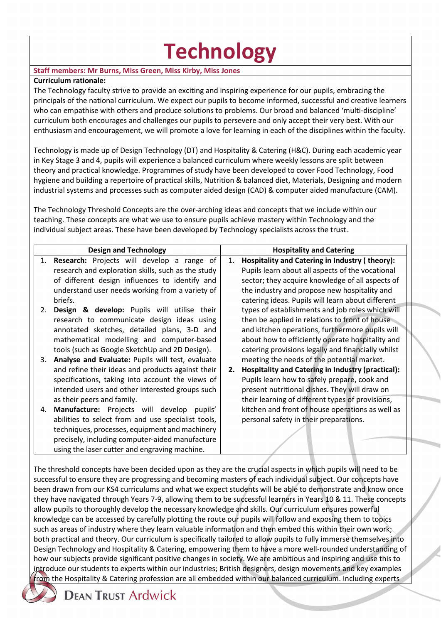# **Technology**

# **Staff members: Mr Burns, Miss Green, Miss Kirby, Miss Jones**

## **Curriculum rationale:**

The Technology faculty strive to provide an exciting and inspiring experience for our pupils, embracing the principals of the national curriculum. We expect our pupils to become informed, successful and creative learners who can empathise with others and produce solutions to problems. Our broad and balanced 'multi-discipline' curriculum both encourages and challenges our pupils to persevere and only accept their very best. With our enthusiasm and encouragement, we will promote a love for learning in each of the disciplines within the faculty.

Technology is made up of Design Technology (DT) and Hospitality & Catering (H&C). During each academic year in Key Stage 3 and 4, pupils will experience a balanced curriculum where weekly lessons are split between theory and practical knowledge. Programmes of study have been developed to cover Food Technology, Food hygiene and building a repertoire of practical skills, Nutrition & balanced diet, Materials, Designing and modern industrial systems and processes such as computer aided design (CAD) & computer aided manufacture (CAM).

The Technology Threshold Concepts are the over-arching ideas and concepts that we include within our teaching. These concepts are what we use to ensure pupils achieve mastery within Technology and the individual subject areas. These have been developed by Technology specialists across the trust.

|    | <b>Design and Technology</b>                       |    | <b>Hospitality and Catering</b>                          |
|----|----------------------------------------------------|----|----------------------------------------------------------|
|    | 1. Research: Projects will develop a range of      | 1. | Hospitality and Catering in Industry (theory):           |
|    | research and exploration skills, such as the study |    | Pupils learn about all aspects of the vocational         |
|    | of different design influences to identify and     |    | sector; they acquire knowledge of all aspects of         |
|    | understand user needs working from a variety of    |    | the industry and propose new hospitality and             |
|    | briefs.                                            |    | catering ideas. Pupils will learn about different        |
| 2. | Design & develop: Pupils will utilise their        |    | types of establishments and job roles which will         |
|    | research to communicate design ideas using         |    | then be applied in relations to front of house           |
|    | annotated sketches, detailed plans, 3-D and        |    | and kitchen operations, furthermore pupils will          |
|    | mathematical modelling and computer-based          |    | about how to efficiently operate hospitality and         |
|    | tools (such as Google SketchUp and 2D Design).     |    | catering provisions legally and financially whilst       |
| 3. | Analyse and Evaluate: Pupils will test, evaluate   |    | meeting the needs of the potential market.               |
|    | and refine their ideas and products against their  | 2. | <b>Hospitality and Catering in Industry (practical):</b> |
|    | specifications, taking into account the views of   |    | Pupils learn how to safely prepare, cook and             |
|    | intended users and other interested groups such    |    | present nutritional dishes. They will draw on            |
|    | as their peers and family.                         |    | their learning of different types of provisions,         |
| 4. | Manufacture: Projects will develop pupils'         |    | kitchen and front of house operations as well as         |
|    | abilities to select from and use specialist tools, |    | personal safety in their preparations.                   |
|    | techniques, processes, equipment and machinery     |    |                                                          |
|    | precisely, including computer-aided manufacture    |    |                                                          |
|    | using the laser cutter and engraving machine.      |    |                                                          |

The threshold concepts have been decided upon as they are the crucial aspects in which pupils will need to be successful to ensure they are progressing and becoming masters of each individual subject. Our concepts have been drawn from our KS4 curriculums and what we expect students will be able to demonstrate and know once they have navigated through Years 7-9, allowing them to be successful learners in Years 10 & 11. These concepts allow pupils to thoroughly develop the necessary knowledge and skills. Our curriculum ensures powerful knowledge can be accessed by carefully plotting the route our pupils will follow and exposing them to topics such as areas of industry where they learn valuable information and then embed this within their own work; both practical and theory. Our curriculum is specifically tailored to allow pupils to fully immerse themselves into Design Technology and Hospitality & Catering, empowering them to have a more well-rounded understanding of how our subjects provide significant positive changes in society. We are ambitious and inspiring and use this to introduce our students to experts within our industries; British designers, design movements and key examples from the Hospitality & Catering profession are all embedded within our balanced curriculum. Including experts



**DEAN TRUST Ardwick**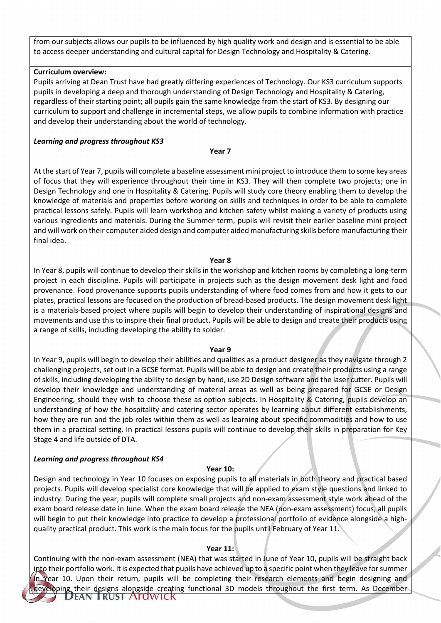from our subjects allows our pupils to be influenced by high quality work and design and is essential to be able to access deeper understanding and cultural capital for Design Technology and Hospitality & Catering.

#### **Curriculum overview:**

Pupils arriving at Dean Trust have had greatly differing experiences of Technology. Our KS3 curriculum supports pupils in developing a deep and thorough understanding of Design Technology and Hospitality & Catering, regardless of their starting point; all pupils gain the same knowledge from the start of KS3. By designing our curriculum to support and challenge in incremental steps, we allow pupils to combine information with practice and develop their understanding about the world of technology.

#### *Learning and progress throughout KS3*

#### **Year 7**

At the start of Year 7, pupils will complete a baseline assessment mini project to introduce them to some key areas of focus that they will experience throughout their time in KS3. They will then complete two projects; one in Design Technology and one in Hospitality & Catering. Pupils will study core theory enabling them to develop the knowledge of materials and properties before working on skills and techniques in order to be able to complete practical lessons safely. Pupils will learn workshop and kitchen safety whilst making a variety of products using various ingredients and materials. During the Summer term, pupils will revisit their earlier baseline mini project and will work on their computer aided design and computer aided manufacturing skills before manufacturing their final idea.

#### **Year 8**

In Year 8, pupils will continue to develop their skills in the workshop and kitchen rooms by completing a long-term project in each discipline. Pupils will participate in projects such as the design movement desk light and food provenance. Food provenance supports pupils understanding of where food comes from and how it gets to our plates, practical lessons are focused on the production of bread-based products. The design movement desk light is a materials-based project where pupils will begin to develop their understanding of inspirational designs and movements and use this to inspire their final product. Pupils will be able to design and create their products using a range of skills, including developing the ability to solder.

#### **Year 9**

In Year 9, pupils will begin to develop their abilities and qualities as a product designer as they navigate through 2 challenging projects, set out in a GCSE format. Pupils will be able to design and create their products using a range of skills, including developing the ability to design by hand, use 2D Design software and the laser cutter. Pupils will develop their knowledge and understanding of material areas as well as being prepared for GCSE or Design Engineering, should they wish to choose these as option subjects. In Hospitality & Catering, pupils develop an understanding of how the hospitality and catering sector operates by learning about different establishments, how they are run and the job roles within them as well as learning about specific commodities and how to use them in a practical setting. In practical lessons pupils will continue to develop their skills in preparation for Key Stage 4 and life outside of DTA.

#### *Learning and progress throughout KS4*

#### **Year 10:**

Design and technology in Year 10 focuses on exposing pupils to all materials in both theory and practical based projects. Pupils will develop specialist core knowledge that will be applied to exam style questions and linked to industry. During the year, pupils will complete small projects and non-exam assessment style work ahead of the exam board release date in June. When the exam board release the NEA (non-exam assessment) focus, all pupils will begin to put their knowledge into practice to develop a professional portfolio of evidence alongside a highquality practical product. This work is the main focus for the pupils until February of Year 11.

#### **Year 11:**

Continuing with the non-exam assessment (NEA) that was started in June of Year 10, pupils will be straight back into their portfolio work. It is expected that pupils have achieved up to a specific point when they leave for summer in Year 10. Upon their return, pupils will be completing their research elements and begin designing and eveloping their designs alongside creating functional 3D models throughout the first term. As December